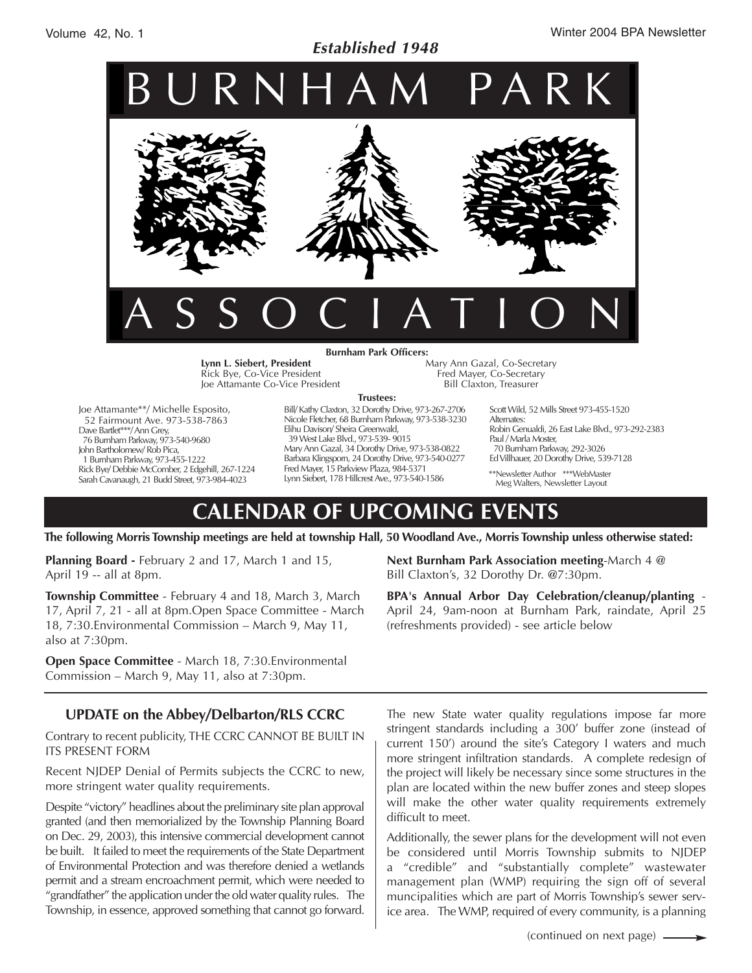# *Established 1948*



**Lynn L. Siebert, President** Rick Bye, Co-Vice President Joe Attamante Co-Vice President Mary Ann Gazal, Co-Secretary Fred Mayer, Co-Secretary Bill Claxton, Treasurer

Joe Attamante\*\*/ Michelle Esposito, 52 Fairmount Ave. 973-538-7863 Dave Bartlet\*\*\*/ Ann Grey, 76 Burnham Parkway, 973-540-9680 John Bartholomew/ Rob Pica, 1 Burnham Parkway, 973-455-1222 Rick Bye/ Debbie McComber, 2 Edgehill, 267-1224 Sarah Cavanaugh, 21 Budd Street, 973-984-4023

Bill/ Kathy Claxton, 32 Dorothy Drive, 973-267-2706 **Trustees:**

Nicole Fletcher, 68 Burnham Parkway, 973-538-3230 Elihu Davison/ Sheira Greenwald, 39 West Lake Blvd., 973-539- 9015 Mary Ann Gazal, 34 Dorothy Drive, 973-538-0822 Barbara Klingsporn, 24 Dorothy Drive, 973-540-0277 Fred Mayer, 15 Parkview Plaza, 984-5371 Lynn Siebert, 178 Hillcrest Ave., 973-540-1586

Scott Wild, 52 Mills Street 973-455-1520 Alternates: Robin Genualdi, 26 East Lake Blvd., 973-292-2383 Paul / Marla Moster, 70 Burnham Parkway, 292-3026 Ed Villhauer, 20 Dorothy Drive, 539-7128

\*\*Newsletter Author \*\*\*WebMaster Meg Walters, Newsletter Layout

# **CALENDAR OF UPCOMING EVENTS**

**The following Morris Township meetings are held at township Hall, 50 Woodland Ave., Morris Township unless otherwise stated:**

**Planning Board -** February 2 and 17, March 1 and 15, April 19 -- all at 8pm.

**Township Committee** - February 4 and 18, March 3, March 17, April 7, 21 - all at 8pm.Open Space Committee - March 18, 7:30.Environmental Commission – March 9, May 11, also at 7:30pm.

**Open Space Committee** - March 18, 7:30.Environmental Commission – March 9, May 11, also at 7:30pm.

# **UPDATE on the Abbey/Delbarton/RLS CCRC**

Contrary to recent publicity, THE CCRC CANNOT BE BUILT IN ITS PRESENT FORM

Recent NJDEP Denial of Permits subjects the CCRC to new, more stringent water quality requirements.

Despite "victory" headlines about the preliminary site plan approval granted (and then memorialized by the Township Planning Board on Dec. 29, 2003), this intensive commercial development cannot be built. It failed to meet the requirements of the State Department of Environmental Protection and was therefore denied a wetlands permit and a stream encroachment permit, which were needed to "grandfather" the application under the old water quality rules. The Township, in essence, approved something that cannot go forward.

**Next Burnham Park Association meeting**-March 4 @ Bill Claxton's, 32 Dorothy Dr. @7:30pm.

**BPA's Annual Arbor Day Celebration/cleanup/planting** - April 24, 9am-noon at Burnham Park, raindate, April 25 (refreshments provided) - see article below

The new State water quality regulations impose far more stringent standards including a 300' buffer zone (instead of current 150') around the site's Category I waters and much more stringent infiltration standards. A complete redesign of the project will likely be necessary since some structures in the plan are located within the new buffer zones and steep slopes will make the other water quality requirements extremely difficult to meet.

Additionally, the sewer plans for the development will not even be considered until Morris Township submits to NJDEP a "credible" and "substantially complete" wastewater management plan (WMP) requiring the sign off of several muncipalities which are part of Morris Township's sewer service area. The WMP, required of every community, is a planning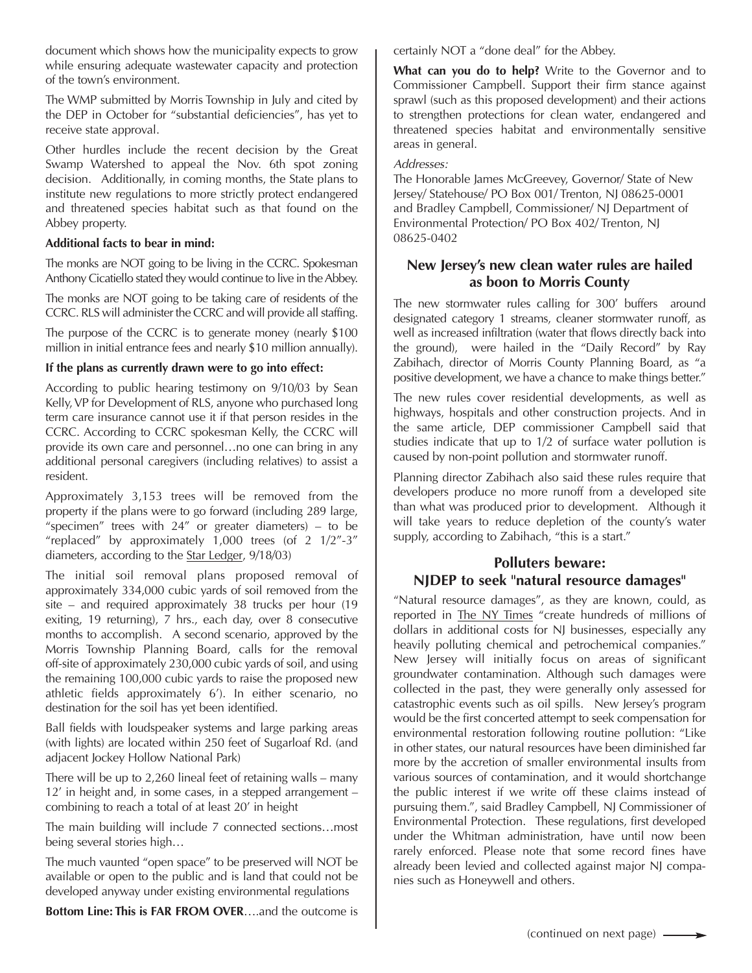document which shows how the municipality expects to grow while ensuring adequate wastewater capacity and protection of the town's environment.

The WMP submitted by Morris Township in July and cited by the DEP in October for "substantial deficiencies", has yet to receive state approval.

Other hurdles include the recent decision by the Great Swamp Watershed to appeal the Nov. 6th spot zoning decision. Additionally, in coming months, the State plans to institute new regulations to more strictly protect endangered and threatened species habitat such as that found on the Abbey property.

#### **Additional facts to bear in mind:**

The monks are NOT going to be living in the CCRC. Spokesman Anthony Cicatiello stated they would continue to live in the Abbey.

The monks are NOT going to be taking care of residents of the CCRC. RLS will administer the CCRC and will provide all staffing.

The purpose of the CCRC is to generate money (nearly \$100 million in initial entrance fees and nearly \$10 million annually).

#### **If the plans as currently drawn were to go into effect:**

According to public hearing testimony on 9/10/03 by Sean Kelly, VP for Development of RLS, anyone who purchased long term care insurance cannot use it if that person resides in the CCRC. According to CCRC spokesman Kelly, the CCRC will provide its own care and personnel…no one can bring in any additional personal caregivers (including relatives) to assist a resident.

Approximately 3,153 trees will be removed from the property if the plans were to go forward (including 289 large, "specimen" trees with  $24$ " or greater diameters) – to be "replaced" by approximately 1,000 trees (of 2 1/2"-3" diameters, according to the Star Ledger, 9/18/03)

The initial soil removal plans proposed removal of approximately 334,000 cubic yards of soil removed from the site – and required approximately 38 trucks per hour (19 exiting, 19 returning), 7 hrs., each day, over 8 consecutive months to accomplish. A second scenario, approved by the Morris Township Planning Board, calls for the removal off-site of approximately 230,000 cubic yards of soil, and using the remaining 100,000 cubic yards to raise the proposed new athletic fields approximately 6'). In either scenario, no destination for the soil has yet been identified.

Ball fields with loudspeaker systems and large parking areas (with lights) are located within 250 feet of Sugarloaf Rd. (and adjacent Jockey Hollow National Park)

There will be up to 2,260 lineal feet of retaining walls – many 12' in height and, in some cases, in a stepped arrangement – combining to reach a total of at least 20' in height

The main building will include 7 connected sections…most being several stories high…

The much vaunted "open space" to be preserved will NOT be available or open to the public and is land that could not be developed anyway under existing environmental regulations

**Bottom Line: This is FAR FROM OVER**….and the outcome is

certainly NOT a "done deal" for the Abbey.

**What can you do to help?** Write to the Governor and to Commissioner Campbell. Support their firm stance against sprawl (such as this proposed development) and their actions to strengthen protections for clean water, endangered and threatened species habitat and environmentally sensitive areas in general.

#### *Addresses:*

The Honorable James McGreevey, Governor/ State of New Jersey/ Statehouse/ PO Box 001/ Trenton, NJ 08625-0001 and Bradley Campbell, Commissioner/ NJ Department of Environmental Protection/ PO Box 402/ Trenton, NJ 08625-0402

### **New Jersey's new clean water rules are hailed as boon to Morris County**

The new stormwater rules calling for 300' buffers around designated category 1 streams, cleaner stormwater runoff, as well as increased infiltration (water that flows directly back into the ground), were hailed in the "Daily Record" by Ray Zabihach, director of Morris County Planning Board, as "a positive development, we have a chance to make things better."

The new rules cover residential developments, as well as highways, hospitals and other construction projects. And in the same article, DEP commissioner Campbell said that studies indicate that up to 1/2 of surface water pollution is caused by non-point pollution and stormwater runoff.

Planning director Zabihach also said these rules require that developers produce no more runoff from a developed site than what was produced prior to development. Although it will take years to reduce depletion of the county's water supply, according to Zabihach, "this is a start."

#### **Polluters beware: NJDEP to seek "natural resource damages"**

"Natural resource damages", as they are known, could, as reported in The NY Times "create hundreds of millions of dollars in additional costs for NJ businesses, especially any heavily polluting chemical and petrochemical companies." New Jersey will initially focus on areas of significant groundwater contamination. Although such damages were collected in the past, they were generally only assessed for catastrophic events such as oil spills. New Jersey's program would be the first concerted attempt to seek compensation for environmental restoration following routine pollution: "Like in other states, our natural resources have been diminished far more by the accretion of smaller environmental insults from various sources of contamination, and it would shortchange the public interest if we write off these claims instead of pursuing them.", said Bradley Campbell, NJ Commissioner of Environmental Protection. These regulations, first developed under the Whitman administration, have until now been rarely enforced. Please note that some record fines have already been levied and collected against major NJ companies such as Honeywell and others.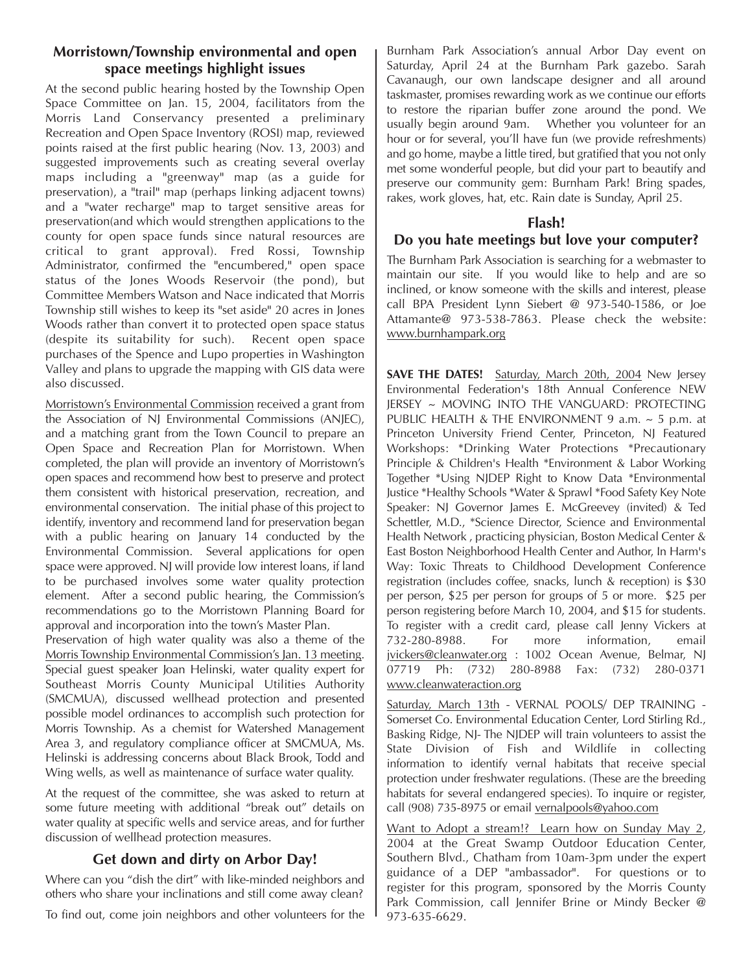# **Morristown/Township environmental and open space meetings highlight issues**

At the second public hearing hosted by the Township Open Space Committee on Jan. 15, 2004, facilitators from the Morris Land Conservancy presented a preliminary Recreation and Open Space Inventory (ROSI) map, reviewed points raised at the first public hearing (Nov. 13, 2003) and suggested improvements such as creating several overlay maps including a "greenway" map (as a guide for preservation), a "trail" map (perhaps linking adjacent towns) and a "water recharge" map to target sensitive areas for preservation(and which would strengthen applications to the county for open space funds since natural resources are critical to grant approval). Fred Rossi, Township Administrator, confirmed the "encumbered," open space status of the Jones Woods Reservoir (the pond), but Committee Members Watson and Nace indicated that Morris Township still wishes to keep its "set aside" 20 acres in Jones Woods rather than convert it to protected open space status (despite its suitability for such). Recent open space purchases of the Spence and Lupo properties in Washington Valley and plans to upgrade the mapping with GIS data were also discussed.

Morristown's Environmental Commission received a grant from the Association of NJ Environmental Commissions (ANJEC), and a matching grant from the Town Council to prepare an Open Space and Recreation Plan for Morristown. When completed, the plan will provide an inventory of Morristown's open spaces and recommend how best to preserve and protect them consistent with historical preservation, recreation, and environmental conservation. The initial phase of this project to identify, inventory and recommend land for preservation began with a public hearing on January 14 conducted by the Environmental Commission. Several applications for open space were approved. NJ will provide low interest loans, if land to be purchased involves some water quality protection element. After a second public hearing, the Commission's recommendations go to the Morristown Planning Board for approval and incorporation into the town's Master Plan.

Preservation of high water quality was also a theme of the Morris Township Environmental Commission's Jan. 13 meeting. Special guest speaker Joan Helinski, water quality expert for Southeast Morris County Municipal Utilities Authority (SMCMUA), discussed wellhead protection and presented possible model ordinances to accomplish such protection for Morris Township. As a chemist for Watershed Management Area 3, and regulatory compliance officer at SMCMUA, Ms. Helinski is addressing concerns about Black Brook, Todd and Wing wells, as well as maintenance of surface water quality.

At the request of the committee, she was asked to return at some future meeting with additional "break out" details on water quality at specific wells and service areas, and for further discussion of wellhead protection measures.

# **Get down and dirty on Arbor Day!**

Where can you "dish the dirt" with like-minded neighbors and others who share your inclinations and still come away clean?

To find out, come join neighbors and other volunteers for the

Burnham Park Association's annual Arbor Day event on Saturday, April 24 at the Burnham Park gazebo. Sarah Cavanaugh, our own landscape designer and all around taskmaster, promises rewarding work as we continue our efforts to restore the riparian buffer zone around the pond. We usually begin around 9am. Whether you volunteer for an hour or for several, you'll have fun (we provide refreshments) and go home, maybe a little tired, but gratified that you not only met some wonderful people, but did your part to beautify and preserve our community gem: Burnham Park! Bring spades, rakes, work gloves, hat, etc. Rain date is Sunday, April 25.

## **Flash!**

# **Do you hate meetings but love your computer?**

The Burnham Park Association is searching for a webmaster to maintain our site. If you would like to help and are so inclined, or know someone with the skills and interest, please call BPA President Lynn Siebert @ 973-540-1586, or Joe Attamante@ 973-538-7863. Please check the website: www.burnhampark.org

**SAVE THE DATES!** Saturday, March 20th, 2004 New Jersey Environmental Federation's 18th Annual Conference NEW JERSEY ~ MOVING INTO THE VANGUARD: PROTECTING PUBLIC HEALTH & THE ENVIRONMENT 9 a.m. ~ 5 p.m. at Princeton University Friend Center, Princeton, NJ Featured Workshops: \*Drinking Water Protections \*Precautionary Principle & Children's Health \*Environment & Labor Working Together \*Using NJDEP Right to Know Data \*Environmental Justice \*Healthy Schools \*Water & Sprawl \*Food Safety Key Note Speaker: NJ Governor James E. McGreevey (invited) & Ted Schettler, M.D., \*Science Director, Science and Environmental Health Network , practicing physician, Boston Medical Center & East Boston Neighborhood Health Center and Author, In Harm's Way: Toxic Threats to Childhood Development Conference registration (includes coffee, snacks, lunch & reception) is \$30 per person, \$25 per person for groups of 5 or more. \$25 per person registering before March 10, 2004, and \$15 for students. To register with a credit card, please call Jenny Vickers at 732-280-8988. For more information, email jvickers@cleanwater.org : 1002 Ocean Avenue, Belmar, NJ 07719 Ph: (732) 280-8988 Fax: (732) 280-0371 www.cleanwateraction.org

Saturday, March 13th - VERNAL POOLS/ DEP TRAINING - Somerset Co. Environmental Education Center, Lord Stirling Rd., Basking Ridge, NJ- The NJDEP will train volunteers to assist the State Division of Fish and Wildlife in collecting information to identify vernal habitats that receive special protection under freshwater regulations. (These are the breeding habitats for several endangered species). To inquire or register, call (908) 735-8975 or email vernalpools@yahoo.com

Want to Adopt a stream!? Learn how on Sunday May 2, 2004 at the Great Swamp Outdoor Education Center, Southern Blvd., Chatham from 10am-3pm under the expert guidance of a DEP "ambassador". For questions or to register for this program, sponsored by the Morris County Park Commission, call Jennifer Brine or Mindy Becker @ 973-635-6629.